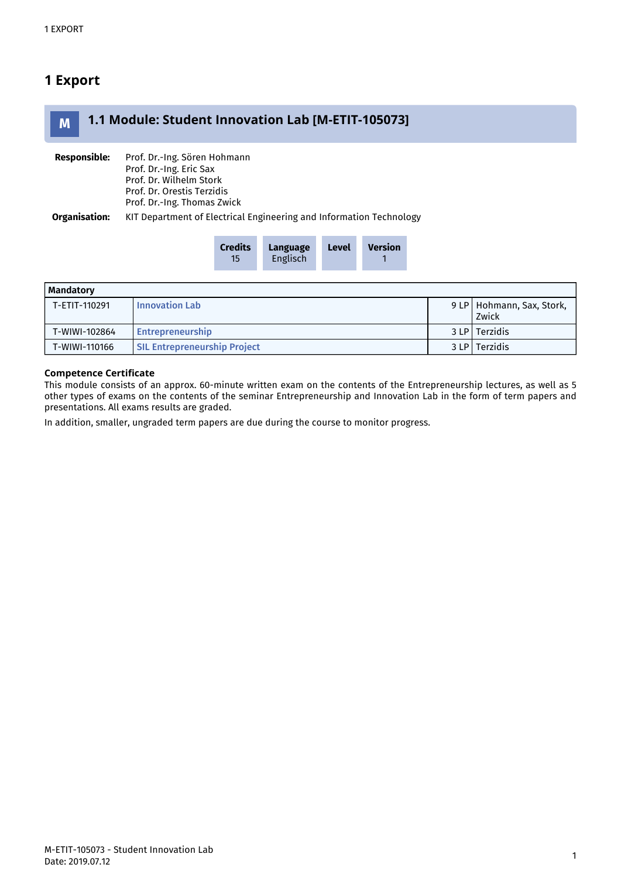# 1 Export



| <b>Credits</b> | Language        | <b>Level</b> | <b>Version</b> |
|----------------|-----------------|--------------|----------------|
| 15             | <b>Englisch</b> |              |                |

| Mandatory     |                                     |  |                                      |  |  |
|---------------|-------------------------------------|--|--------------------------------------|--|--|
| T-ETIT-110291 | <b>Innovation Lab</b>               |  | 9 LP   Hohmann, Sax, Stork,<br>Zwick |  |  |
|               |                                     |  |                                      |  |  |
| T-WIWI-102864 | Entrepreneurship                    |  | 3 LP   Terzidis                      |  |  |
| T-WIWI-110166 | <b>SIL Entrepreneurship Project</b> |  | 3 LP   Terzidis                      |  |  |

### Competence Certificate

This module consists of an approx. 60-minute written exam on the contents of the Entrepreneurship lectures, as well as 5 other types of exams on the contents of the seminar Entrepreneurship and Innovation Lab in the form of term papers and presentations. All exams results are graded.

In addition, smaller, ungraded term papers are due during the course to monitor progress.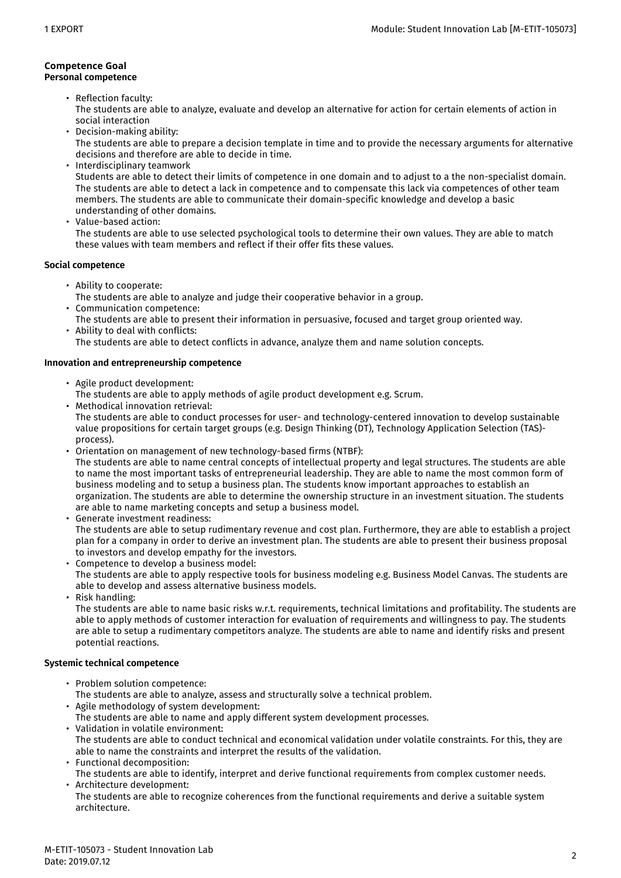#### Competence Goal **Personal competence**

- Reflection faculty: The students are able to analyze, evaluate and develop an alternative for action for certain elements of action in social interaction
- Decision-making ability: The students are able to prepare a decision template in time and to provide the necessary arguments for alternative decisions and therefore are able to decide in time.
- Interdisciplinary teamwork Students are able to detect their limits of competence in one domain and to adjust to a the non-specialist domain. The students are able to detect a lack in competence and to compensate this lack via competences of other team members. The students are able to communicate their domain-specific knowledge and develop a basic understanding of other domains.
- Value-based action: The students are able to use selected psychological tools to determine their own values. They are able to match these values with team members and reflect if their offer fits these values.

# **Social competence**

- Ability to cooperate: The students are able to analyze and judge their cooperative behavior in a group.
- Communication competence: • Ability to deal with conflicts: The students are able to present their information in persuasive, focused and target group oriented way.
- The students are able to detect conflicts in advance, analyze them and name solution concepts.

# **Innovation and entrepreneurship competence**

- Agile product development:
	- The students are able to apply methods of agile product development e.g. Scrum.
- Methodical innovation retrieval:
- The students are able to conduct processes for user- and technology-centered innovation to develop sustainable value propositions for certain target groups (e.g. Design Thinking (DT), Technology Application Selection (TAS) process).
- Orientation on management of new technology-based firms (NTBF): The students are able to name central concepts of intellectual property and legal structures. The students are able to name the most important tasks of entrepreneurial leadership. They are able to name the most common form of business modeling and to setup a business plan. The students know important approaches to establish an organization. The students are able to determine the ownership structure in an investment situation. The students are able to name marketing concepts and setup a business model.
- Generate investment readiness: The students are able to setup rudimentary revenue and cost plan. Furthermore, they are able to establish a project plan for a company in order to derive an investment plan. The students are able to present their business proposal to investors and develop empathy for the investors.
- Competence to develop a business model: The students are able to apply respective tools for business modeling e.g. Business Model Canvas. The students are able to develop and assess alternative business models.
- Risk handling:

The students are able to name basic risks w.r.t. requirements, technical limitations and profitability. The students are able to apply methods of customer interaction for evaluation of requirements and willingness to pay. The students are able to setup a rudimentary competitors analyze. The students are able to name and identify risks and present potential reactions.

## **Systemic technical competence**

- Problem solution competence:
- The students are able to analyze, assess and structurally solve a technical problem.
- Agile methodology of system development:
- The students are able to name and apply different system development processes.
- Validation in volatile environment: The students are able to conduct technical and economical validation under volatile constraints. For this, they are able to name the constraints and interpret the results of the validation.
- Functional decomposition: The students are able to identify, interpret and derive functional requirements from complex customer needs.
	- Architecture development:
	- The students are able to recognize coherences from the functional requirements and derive a suitable system architecture.